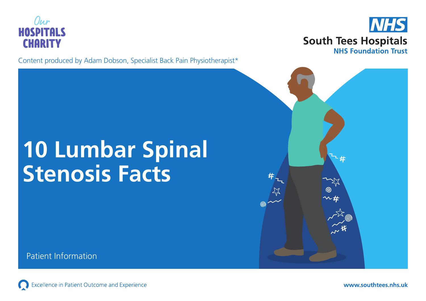

Content produced by Adam Dobson, Specialist Back Pain Physiotherapist\*



# **10 Lumbar Spinal Stenosis Facts**

Patient Information

Excellence in Patient Outcome and Experience  $\bigodot$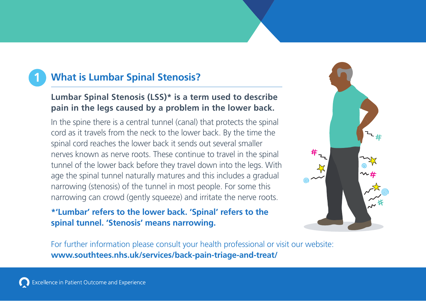# **1 What is Lumbar Spinal Stenosis?**

### **Lumbar Spinal Stenosis (LSS)\* is a term used to describe pain in the legs caused by a problem in the lower back.**

In the spine there is a central tunnel (canal) that protects the spinal cord as it travels from the neck to the lower back. By the time the spinal cord reaches the lower back it sends out several smaller nerves known as nerve roots. These continue to travel in the spinal tunnel of the lower back before they travel down into the legs. With age the spinal tunnel naturally matures and this includes a gradual narrowing (stenosis) of the tunnel in most people. For some this narrowing can crowd (gently squeeze) and irritate the nerve roots.

### **\*'Lumbar' refers to the lower back. 'Spinal' refers to the spinal tunnel. 'Stenosis' means narrowing.**

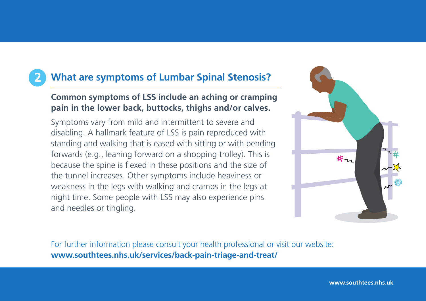# **2 What are symptoms of Lumbar Spinal Stenosis?**

#### **Common symptoms of LSS include an aching or cramping pain in the lower back, buttocks, thighs and/or calves.**

Symptoms vary from mild and intermittent to severe and disabling. A hallmark feature of LSS is pain reproduced with standing and walking that is eased with sitting or with bending forwards (e.g., leaning forward on a shopping trolley). This is because the spine is flexed in these positions and the size of the tunnel increases. Other symptoms include heaviness or weakness in the legs with walking and cramps in the legs at night time. Some people with LSS may also experience pins and needles or tingling.



For further information please consult your health professional or visit our website: **www.southtees.nhs.uk/services/back-pain-triage-and-treat/**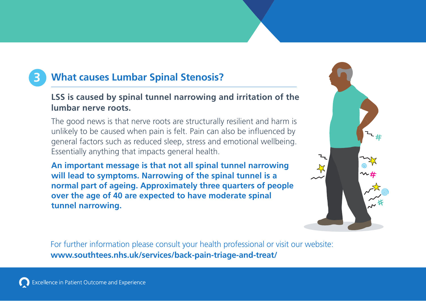# **3 What causes Lumbar Spinal Stenosis?**

### **LSS is caused by spinal tunnel narrowing and irritation of the lumbar nerve roots.**

The good news is that nerve roots are structurally resilient and harm is unlikely to be caused when pain is felt. Pain can also be influenced by general factors such as reduced sleep, stress and emotional wellbeing. Essentially anything that impacts general health.

**An important message is that not all spinal tunnel narrowing will lead to symptoms. Narrowing of the spinal tunnel is a normal part of ageing. Approximately three quarters of people over the age of 40 are expected to have moderate spinal tunnel narrowing.**

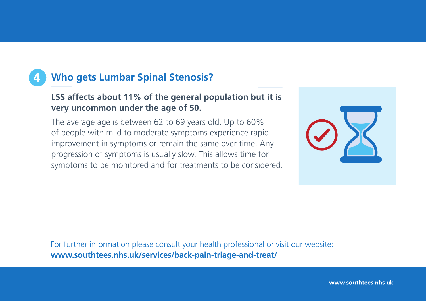# **4 Who gets Lumbar Spinal Stenosis?**

#### **LSS affects about 11% of the general population but it is very uncommon under the age of 50.**

The average age is between 62 to 69 years old. Up to 60% of people with mild to moderate symptoms experience rapid improvement in symptoms or remain the same over time. Any progression of symptoms is usually slow. This allows time for symptoms to be monitored and for treatments to be considered.



For further information please consult your health professional or visit our website: **www.southtees.nhs.uk/services/back-pain-triage-and-treat/**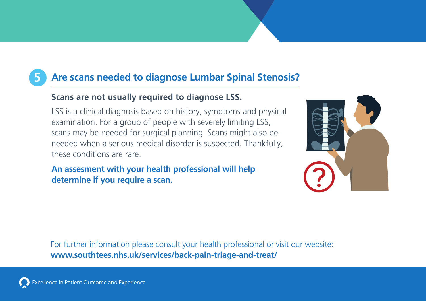# **5 Are scans needed to diagnose Lumbar Spinal Stenosis?**

### **Scans are not usually required to diagnose LSS.**

LSS is a clinical diagnosis based on history, symptoms and physical examination. For a group of people with severely limiting LSS, scans may be needed for surgical planning. Scans might also be needed when a serious medical disorder is suspected. Thankfully, these conditions are rare.

**An assesment with your health professional will help determine if you require a scan.**

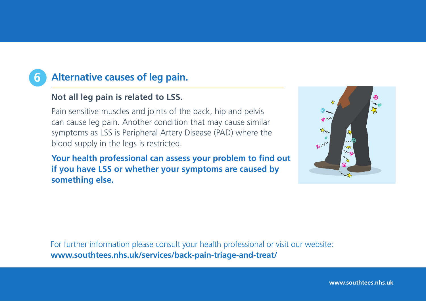## **6 Alternative causes of leg pain.**

#### **Not all leg pain is related to LSS.**

Pain sensitive muscles and joints of the back, hip and pelvis can cause leg pain. Another condition that may cause similar symptoms as LSS is Peripheral Artery Disease (PAD) where the blood supply in the legs is restricted.

Your health professional can assess your problem to find out **if you have LSS or whether your symptoms are caused by something else.** 



For further information please consult your health professional or visit our website: **www.southtees.nhs.uk/services/back-pain-triage-and-treat/**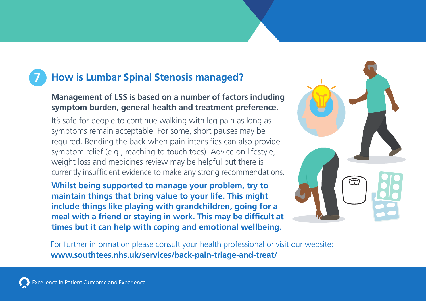# **7 How is Lumbar Spinal Stenosis managed?**

#### **Management of LSS is based on a number of factors including symptom burden, general health and treatment preference.**

It's safe for people to continue walking with leg pain as long as symptoms remain acceptable. For some, short pauses may be required. Bending the back when pain intensifies can also provide symptom relief (e.g., reaching to touch toes). Advice on lifestyle, weight loss and medicines review may be helpful but there is currently insufficient evidence to make any strong recommendations.

**Whilst being supported to manage your problem, try to maintain things that bring value to your life. This might include things like playing with grandchildren, going for a**  meal with a friend or staying in work. This may be difficult at **times but it can help with coping and emotional wellbeing.**

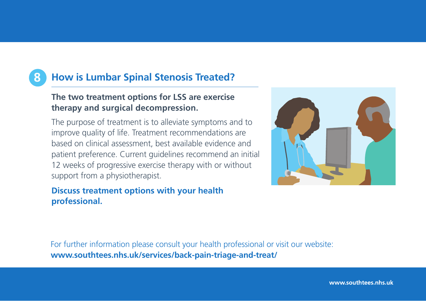# **8 How is Lumbar Spinal Stenosis Treated?**

### **The two treatment options for LSS are exercise therapy and surgical decompression.**

The purpose of treatment is to alleviate symptoms and to improve quality of life. Treatment recommendations are based on clinical assessment, best available evidence and patient preference. Current guidelines recommend an initial 12 weeks of progressive exercise therapy with or without support from a physiotherapist.

#### **Discuss treatment options with your health professional.**



For further information please consult your health professional or visit our website: **www.southtees.nhs.uk/services/back-pain-triage-and-treat/**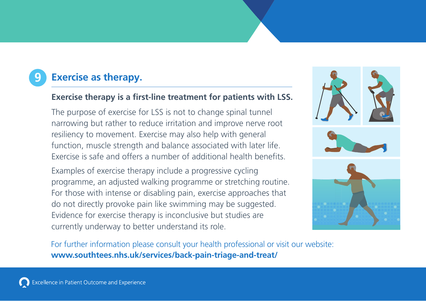# **9 Exercise as therapy.**

#### **Exercise therapy is a first-line treatment for patients with LSS.**

The purpose of exercise for LSS is not to change spinal tunnel narrowing but rather to reduce irritation and improve nerve root resiliency to movement. Exercise may also help with general function, muscle strength and balance associated with later life. Exercise is safe and offers a number of additional health benefits.

Examples of exercise therapy include a progressive cycling programme, an adjusted walking programme or stretching routine. For those with intense or disabling pain, exercise approaches that do not directly provoke pain like swimming may be suggested. Evidence for exercise therapy is inconclusive but studies are currently underway to better understand its role.

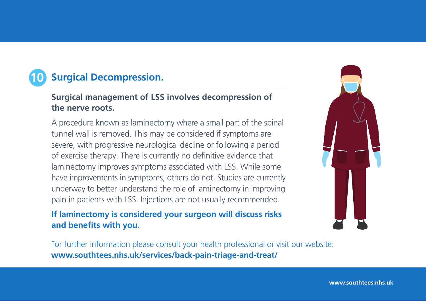# **Surgical Decompression.**

#### **Surgical management of LSS involves decompression of the nerve roots.**

A procedure known as laminectomy where a small part of the spinal tunnel wall is removed. This may be considered if symptoms are severe, with progressive neurological decline or following a period of exercise therapy. There is currently no definitive evidence that laminectomy improves symptoms associated with LSS. While some have improvements in symptoms, others do not. Studies are currently underway to better understand the role of laminectomy in improving pain in patients with LSS. Injections are not usually recommended.

#### **If laminectomy is considered your surgeon will discuss risks and benefits with you.**